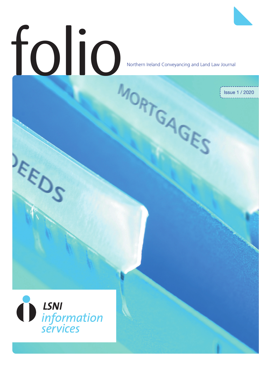# Folio Northern Ireland Conveyancing and Land

Northern Ireland Conveyancing and Land Law Journal

Issue 1 / 2020



2031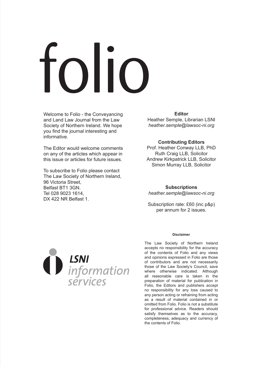# folio

Welcome to Folio - the Conveyancing and Land Law Journal from the Law Society of Northern Ireland. We hope you find the journal interesting and informative.

The Editor would welcome comments on any of the articles which appear in this issue or articles for future issues.

To subscribe to Folio please contact The Law Society of Northern Ireland, 96 Victoria Street, Belfast BT1 3GN. Tel 028 9023 1614, DX 422 NR Belfast 1.

**Editor** Heather Semple, Librarian LSNI

*heather.semple@lawsoc-ni.org*

#### **Contributing Editors**

Prof. Heather Conway LLB, PhD Ruth Craig LLB, Solicitor Andrew Kirkpatrick LLB, Solicitor Simon Murray LLB, Solicitor

#### **Subscriptions** *heather.semple@lawsoc-ni.org*

Subscription rate: £60 (inc p&p) per annum for 2 issues.



#### **Disclaimer**

The Law Society of Northern Ireland accepts no responsibility for the accuracy of the contents of Folio and any views and opinions expressed in Folio are those of contributors and are not necessarily those of the Law Society's Council, save where otherwise indicated. Although all reasonable care is taken in the preparation of material for publication in Folio, the Editors and publishers accept no responsibility for any loss caused to any person acting or refraining from acting as a result of material contained in or omitted from Folio. Folio is not a substitute for professional advice. Readers should satisfy themselves as to the accuracy, completeness, adequacy and currency of the contents of Folio.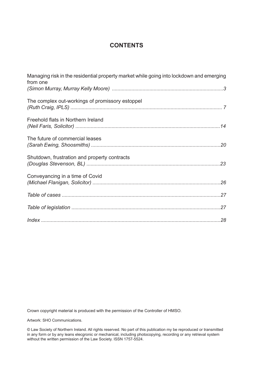# **CONTENTS**

| Managing risk in the residential property market while going into lockdown and emerging<br>from one |  |
|-----------------------------------------------------------------------------------------------------|--|
|                                                                                                     |  |
| The complex out-workings of promissory estoppel                                                     |  |
| Freehold flats in Northern Ireland                                                                  |  |
| The future of commercial leases                                                                     |  |
| Shutdown, frustration and property contracts                                                        |  |
| Conveyancing in a time of Covid                                                                     |  |
|                                                                                                     |  |
|                                                                                                     |  |
|                                                                                                     |  |

Crown copyright material is produced with the permission of the Controller of HMSO.

Artwork: SHO Communications.

© Law Society of Northern Ireland. All rights reserved. No part of this publication my be reproduced or transmitted in any form or by any leans elecgronic or mechanical, including photocopying, recording or any retrieval system without the written permission of the Law Society. ISSN 1757-5524.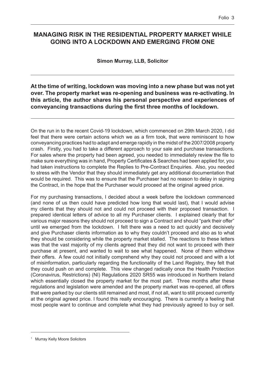# <span id="page-4-0"></span>**MANAGING RISK IN THE RESIDENTIAL PROPERTY MARKET WHILE GOING INTO A LOCKDOWN AND EMERGING FROM ONE**

**Simon Murray, LLB, Solicitor** 

**At the time of writing, lockdown was moving into a new phase but was not yet over. The property market was re-opening and business was re-activating. In this article, the author shares his personal perspective and experiences of conveyancing transactions during the first three months of lockdown.**

On the run in to the recent Covid-19 lockdown, which commenced on 29th March 2020, I did feel that there were certain actions which we as a firm took, that were reminiscent to how conveyancing practices had to adapt and emerge rapidly in the midst of the 2007/2008 property crash. Firstly, you had to take a different approach to your sale and purchase transactions. For sales where the property had been agreed, you needed to immediately review the file to make sure everything was in hand, Property Certificates & Searches had been applied for, you had taken instructions to complete the Replies to Pre-Contract Enquiries. Also, you needed to stress with the Vendor that they should immediately get any additional documentation that would be required. This was to ensure that the Purchaser had no reason to delay in signing the Contract, in the hope that the Purchaser would proceed at the original agreed price.

For my purchasing transactions, I decided about a week before the lockdown commenced (and none of us then could have predicted how long that would last), that I would advise my clients that they should not and could not proceed with their proposed transaction. I prepared identical letters of advice to all my Purchaser clients. I explained clearly that for various major reasons they should not proceed to sign a Contract and should "park their offer" until we emerged from the lockdown. I felt there was a need to act quickly and decisively and give Purchaser clients information as to why they couldn't proceed and also as to what they should be considering while the property market stalled. The reactions to these letters was that the vast majority of my clients agreed that they did not want to proceed with their purchase at present, and wanted to wait to see what happened. None of them withdrew their offers. A few could not initially comprehend why they could not proceed and with a lot of misinformation, particularly regarding the functionality of the Land Registry, they felt that they could push on and complete. This view changed radically once the Health Protection (Coronavirus, Restrictions) (NI) Regulations 2020 SR55 was introduced in Northern Ireland which essentially closed the property market for the most part. Three months after these regulations and legislation were amended and the property market was re-opened, all offers that were parked by our clients still remained and most, if not all, want to still proceed currently at the original agreed price. I found this really encouraging. There is currently a feeling that most people want to continue and complete what they had previously agreed to buy or sell.

<sup>1</sup> Murray Kelly Moore Solicitors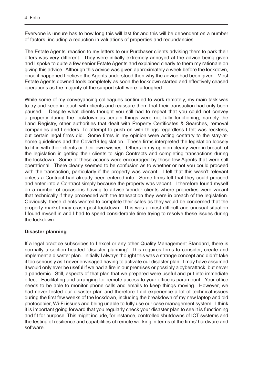Everyone is unsure has to how long this will last for and this will be dependent on a number of factors, including a reduction in valuations of properties and redundancies.

The Estate Agents' reaction to my letters to our Purchaser clients advising them to park their offers was very different. They were initially extremely annoyed at the advice being given and I spoke to quite a few senior Estate Agents and explained clearly to them my rationale on giving this advice. Although this advice was given approximately a week before the lockdown, once it happened I believe the Agents understood then why the advice had been given. Most Estate Agents downed tools completely as soon the lockdown started and effectively ceased operations as the majority of the support staff were furloughed.

While some of my conveyancing colleagues continued to work remotely, my main task was to try and keep in touch with clients and reassure them that their transaction had only been paused. Despite what clients thought you still had to repeat that you could not convey a property during the lockdown as certain things were not fully functioning, namely the Land Registry, other authorities that dealt with Property Certificates & Searches, removal companies and Lenders. To attempt to push on with things regardless I felt was reckless, but certain legal firms did. Some firms in my opinion were acting contrary to the stay-athome guidelines and the Covid19 legislation. These firms interpreted the legislation loosely to fit in with their clients or their own wishes. Others in my opinion clearly were in breach of the legislation in getting their clients to sign Contracts and completing transactions during the lockdown. Some of these actions were encouraged by those few Agents that were still operational. There clearly seemed to be confusion as to whether or not you could proceed with the transaction, particularly if the property was vacant. I felt that this wasn't relevant unless a Contract had already been entered into. Some firms felt that they could proceed and enter into a Contract simply because the property was vacant. I therefore found myself on a number of occasions having to advise Vendor clients where properties were vacant that technically if they proceeded with the transaction they were in breach of the legislation. Obviously, these clients wanted to complete their sales as they would be concerned that the property market may crash post lockdown. This was a most difficult and unusual situation I found myself in and I had to spend considerable time trying to resolve these issues during the lockdown.

#### **Disaster planning**

If a legal practice subscribes to Lexcel or any other Quality Management Standard, there is normally a section headed "disaster planning". This requires firms to consider, create and implement a disaster plan. Initially I always thought this was a strange concept and didn't take it too seriously as I never envisaged having to activate our disaster plan. I may have assumed it would only ever be useful if we had a fire in our premises or possibly a cyberattack, but never a pandemic. Still, aspects of that plan that we prepared were useful and put into immediate effect. Facilitating and arranging for remote access to your office is paramount. Your office needs to be able to monitor phone calls and emails to keep things moving. However, we had never tested our disaster plan and therefore I did experience a lot of technical issues during the first few weeks of the lockdown, including the breakdown of my new laptop and old photocopier, Wi-Fi issues and being unable to fully use our case management system. I think it is important going forward that you regularly check your disaster plan to see it is functioning and fit for purpose. This might include, for instance, controlled shutdowns of ICT systems and the testing of resilience and capabilities of remote working in terms of the firms' hardware and software.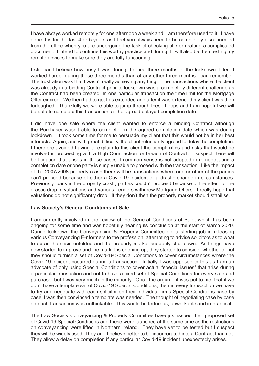I have always worked remotely for one afternoon a week and I am therefore used to it. I have done this for the last 4 or 5 years as I feel you always need to be completely disconnected from the office when you are undergoing the task of checking title or drafting a complicated document. I intend to continue this worthy practice and during it I will also be then testing my remote devices to make sure they are fully functioning.

I still can't believe how busy I was during the first three months of the lockdown. I feel I worked harder during those three months than at any other three months I can remember. The frustration was that I wasn't really achieving anything. The transactions where the client was already in a binding Contract prior to lockdown was a completely different challenge as the Contract had been created. In one particular transaction the time limit for the Mortgage Offer expired. We then had to get this extended and after it was extended my client was then furloughed. Thankfully we were able to jump through these hoops and I am hopeful we will be able to complete this transaction at the agreed delayed completion date.

I did have one sale where the client wanted to enforce a binding Contract although the Purchaser wasn't able to complete on the agreed completion date which was during lockdown. It took some time for me to persuade my client that this would not be in her best interests. Again, and with great difficulty, the client reluctantly agreed to delay the completion. I therefore avoided having to explain to this client the complexities and risks that would be involved in proceeding with a High Court action for breach of Contract. I suspect there will be litigation that arises in these cases if common sense is not adopted in re-negotiating a completion date or one party is simply unable to proceed with the transaction. Like the impact of the 2007/2008 property crash there will be transactions where one or other of the parties can't proceed because of either a Covid-19 incident or a drastic change in circumstances. Previously, back in the property crash, parties couldn't proceed because of the effect of the drastic drop in valuations and various Lenders withdrew Mortgage Offers. I really hope that valuations do not significantly drop. If they don't then the property market should stabilise.

#### **Law Society's General Conditions of Sale**

I am currently involved in the review of the General Conditions of Sale, which has been ongoing for some time and was hopefully nearing its conclusion at the start of March 2020. During lockdown the Conveyancing & Property Committee did a sterling job in releasing various Conveyancing E-nformers to the profession, attempting to advise solicitors as to what to do as the crisis unfolded and the property market suddenly shut down. As things have now started to improve and the market is opening up, they started to consider whether or not they should furnish a set of Covid-19 Special Conditions to cover circumstances where the Covid-19 incident occurred during a transaction. Initially I was opposed to this as I am an advocate of only using Special Conditions to cover actual "special issues" that arise during a particular transaction and not to have a fixed set of Special Conditions for every sale and purchase, but I was very much in the minority. Once the argument was put to me, that if we don't have a template set of Covid-19 Special Conditions, then in every transaction we have to try and negotiate with each solicitor on their individual firms Special Conditions case by case I was then convinced a template was needed. The thought of negotiating case by case on each transaction was unthinkable. This would be torturous, unworkable and impractical.

The Law Society Conveyancing & Property Committee have just issued their proposed set of Covid-19 Special Conditions and these were launched at the same time as the restrictions on conveyancing were lifted in Northern Ireland. They have yet to be tested but I suspect they will be widely used. They are, I believe better to be incorporated into a Contract than not. They allow a delay on completion if any particular Covid-19 incident unexpectedly arises.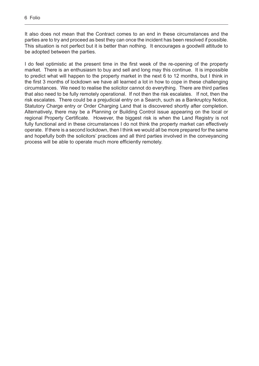It also does not mean that the Contract comes to an end in these circumstances and the parties are to try and proceed as best they can once the incident has been resolved if possible. This situation is not perfect but it is better than nothing. It encourages a goodwill attitude to be adopted between the parties.

I do feel optimistic at the present time in the first week of the re-opening of the property market. There is an enthusiasm to buy and sell and long may this continue. It is impossible to predict what will happen to the property market in the next 6 to 12 months, but I think in the first 3 months of lockdown we have all learned a lot in how to cope in these challenging circumstances. We need to realise the solicitor cannot do everything. There are third parties that also need to be fully remotely operational. If not then the risk escalates. If not, then the risk escalates. There could be a prejudicial entry on a Search, such as a Bankruptcy Notice, Statutory Charge entry or Order Charging Land that is discovered shortly after completion. Alternatively, there may be a Planning or Building Control issue appearing on the local or regional Property Certificate. However, the biggest risk is when the Land Registry is not fully functional and in these circumstances I do not think the property market can effectively operate. If there is a second lockdown, then I think we would all be more prepared for the same and hopefully both the solicitors' practices and all third parties involved in the conveyancing process will be able to operate much more efficiently remotely.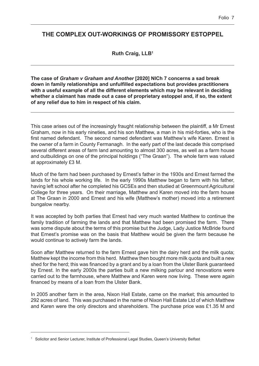# <span id="page-8-0"></span>**THE COMPLEX OUT-WORKINGS OF PROMISSORY ESTOPPEL**

**Ruth Craig, LLB1**

**The case of** *Graham v Graham and Another* **[2020] NICh 7 concerns a sad break down in family relationships and unfulfilled expectations but provides practitioners with a useful example of all the different elements which may be relevant in deciding whether a claimant has made out a case of proprietary estoppel and, if so, the extent of any relief due to him in respect of his claim.**

This case arises out of the increasingly fraught relationship between the plaintiff, a Mr Ernest Graham, now in his early nineties, and his son Matthew, a man in his mid-forties, who is the first named defendant. The second named defendant was Matthew's wife Karen. Ernest is the owner of a farm in County Fermanagh. In the early part of the last decade this comprised several different areas of farm land amounting to almost 300 acres, as well as a farm house and outbuildings on one of the principal holdings ("The Graan"). The whole farm was valued at approximately £3 M.

Much of the farm had been purchased by Ernest's father in the 1930s and Ernest farmed the lands for his whole working life. In the early 1990s Matthew began to farm with his father, having left school after he completed his GCSEs and then studied at Greenmount Agricultural College for three years. On their marriage, Matthew and Karen moved into the farm house at The Graan in 2000 and Ernest and his wife (Matthew's mother) moved into a retirement bungalow nearby.

It was accepted by both parties that Ernest had very much wanted Matthew to continue the family tradition of farming the lands and that Matthew had been promised the farm. There was some dispute about the terms of this promise but the Judge, Lady Justice McBride found that Ernest's promise was on the basis that Matthew would be given the farm because he would continue to actively farm the lands.

Soon after Matthew returned to the farm Ernest gave him the dairy herd and the milk quota; Matthew kept the income from this herd. Matthew then bought more milk quota and built a new shed for the herd; this was financed by a grant and by a loan from the Ulster Bank guaranteed by Ernest. In the early 2000s the parties built a new milking parlour and renovations were carried out to the farmhouse, where Matthew and Karen were now living. These were again financed by means of a loan from the Ulster Bank.

In 2005 another farm in the area, Nixon Hall Estate, came on the market; this amounted to 292 acres of land. This was purchased in the name of Nixon Hall Estate Ltd of which Matthew and Karen were the only directors and shareholders. The purchase price was £1.35 M and

<sup>1</sup> Solicitor and Senior Lecturer, Institute of Professional Legal Studies, Queen's University Belfast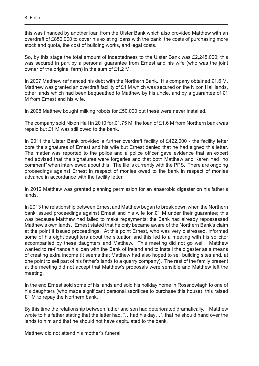this was financed by another loan from the Ulster Bank which also provided Matthew with an overdraft of £850,000 to cover his existing loans with the bank, the costs of purchasing more stock and quota, the cost of building works, and legal costs.

So, by this stage the total amount of indebtedness to the Ulster Bank was £2,245,000; this was secured in part by a personal guarantee from Ernest and his wife (who was the joint owner of the original farm) in the sum of £1.2 M.

In 2007 Matthew refinanced his debt with the Northern Bank. His company obtained £1.6 M. Matthew was granted an overdraft facility of £1 M which was secured on the Nixon Hall lands, other lands which had been bequeathed to Matthew by his uncle, and by a guarantee of £1 M from Ernest and his wife.

In 2008 Matthew bought milking robots for £50,000 but these were never installed.

The company sold Nixon Hall in 2010 for £1.75 M; the loan of £1.6 M from Northern bank was repaid but £1 M was still owed to the bank.

In 2011 the Ulster Bank provided a further overdraft facility of £422,000 - the facility letter bore the signatures of Ernest and his wife but Ernest denied that he had signed this letter. The matter was reported to the police and a police officer gave evidence that an expert had advised that the signatures were forgeries and that both Matthew and Karen had "no comment" when interviewed about this. The file is currently with the PPS. There are ongoing proceedings against Ernest in respect of monies owed to the bank in respect of monies advance in accordance with the facility letter.

In 2012 Matthew was granted planning permission for an anaerobic digester on his father's lands.

In 2013 the relationship between Ernest and Matthew began to break down when the Northern bank issued proceedings against Ernest and his wife for £1 M under their guarantee; this was because Matthew had failed to make repayments; the Bank had already repossessed Matthew's own lands. Ernest stated that he only became aware of the Northern Bank's claim at the point it issued proceedings. At this point Ernest, who was very distressed, informed some of his eight daughters about the situation and this led to a meeting with his solicitor accompanied by these daughters and Matthew. This meeting did not go well. Matthew wanted to re-finance his loan with the Bank of Ireland and to install the digester as a means of creating extra income (it seems that Matthew had also hoped to sell building sites and, at one point to sell part of his father's lands to a quarry company). The rest of the family present at the meeting did not accept that Matthew's proposals were sensible and Matthew left the meeting.

In the end Ernest sold some of his lands and sold his holiday home in Rossnowlagh to one of his daughters (who made significant personal sacrifices to purchase this house); this raised £1 M to repay the Northern bank.

By this time the relationship between father and son had deteriorated dramatically. Matthew wrote to his father stating that the latter had, "…had his day…", that he should hand over the lands to him and that he should not have capitulated to the bank.

Matthew did not attend his mother's funeral.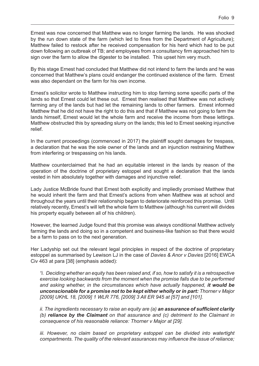Ernest was now concerned that Matthew was no longer farming the lands. He was shocked by the run down state of the farm (which led to fines from the Department of Agriculture); Matthew failed to restock after he received compensation for his herd which had to be put down following an outbreak of TB; and employees from a consultancy firm approached him to sign over the farm to allow the digester to be installed. This upset him very much.

By this stage Ernest had concluded that Matthew did not intend to farm the lands and he was concerned that Matthew's plans could endanger the continued existence of the farm. Ernest was also dependant on the farm for his own income.

Ernest's solicitor wrote to Matthew instructing him to stop farming some specific parts of the lands so that Ernest could let these out. Ernest then realised that Matthew was not actively farming any of the lands but had let the remaining lands to other farmers. Ernest informed Matthew that he did not have the right to do this and that if Matthew was not going to farm the lands himself, Ernest would let the whole farm and receive the income from these lettings. Matthew obstructed this by spreading slurry on the lands; this led to Ernest seeking injunctive relief.

In the current proceedings (commenced in 2017) the plaintiff sought damages for trespass, a declaration that he was the sole owner of the lands and an injunction restraining Matthew from interfering or trespassing on his lands.

Matthew counterclaimed that he had an equitable interest in the lands by reason of the operation of the doctrine of proprietary estoppel and sought a declaration that the lands vested in him absolutely together with damages and injunctive relief.

Lady Justice McBride found that Ernest both explicitly and impliedly promised Matthew that he would inherit the farm and that Ernest's actions from when Matthew was at school and throughout the years until their relationship began to deteriorate reinforced this promise. Until relatively recently, Ernest's will left the whole farm to Matthew (although his current will divides his property equally between all of his children).

However, the learned Judge found that this promise was always conditional Matthew actively farming the lands and doing so in a competent and business-like fashion so that there would be a farm to pass on to the next generation.

Her Ladyship set out the relevant legal principles in respect of the doctrine of proprietary estoppel as summarised by Lewison LJ in the case of *Davies & Anor v Davies* [2016] EWCA Civ 463 at para [38] (emphasis added):

*"i. Deciding whether an equity has been raised and, if so, how to satisfy it is a retrospective exercise looking backwards from the moment when the promise falls due to be performed and asking whether, in the circumstances which have actually happened, it would be unconscionable for a promise not to be kept either wholly or in part: Thorner v Major [2009] UKHL 18, [2009] 1 WLR 776, [2009] 3 All ER 945 at [57] and [101].*

*ii. The ingredients necessary to raise an equity are (a) an assurance of sufficient clarity (b) reliance by the Claimant on that assurance and (c) detriment to the Claimant in consequence of his reasonable reliance: Thorner v Major at [29].*

*iii. However, no claim based on proprietary estoppel can be divided into watertight compartments. The quality of the relevant assurances may influence the issue of reliance;*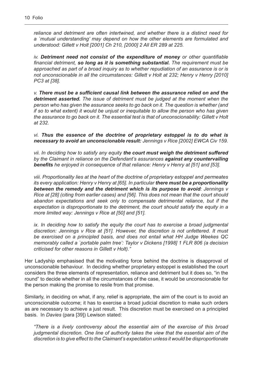*reliance and detriment are often intertwined, and whether there is a distinct need for a `mutual understanding' may depend on how the other elements are formulated and understood: Gillett v Holt [2001] Ch 210, [2000] 2 All ER 289 at 225.*

 *iv. Detriment need not consist of the expenditure of money or other quantifiable financial detriment, so long as it is something substantial. The requirement must be approached as part of a broad inquiry as to whether repudiation of an assurance is or is not unconscionable in all the circumstances: Gillett v Holt at 232; Henry v Henry [2010] PC3 at [38].*

 *v. There must be a sufficient causal link between the assurance relied on and the detriment asserted. The issue of detriment must be judged at the moment when the person who has given the assurance seeks to go back on it. The question is whether (and if so to what extent) it would be unjust or inequitable to allow the person who has given the assurance to go back on it. The essential test is that of unconscionability: Gillett v Holt at 232.*

 *vi. Thus the essence of the doctrine of proprietary estoppel is to do what is necessary to avoid an unconscionable result: Jennings v Rice [2002] EWCA Civ 159.*

 *vii. In deciding how to satisfy any equity the court must weigh the detriment suffered by the Claimant in reliance on the Defendant's assurances against any countervailing benefits he enjoyed in consequence of that reliance: Henry v Henry at [51] and [53].*

 *viii. Proportionality lies at the heart of the doctrine of proprietary estoppel and permeates its every application: Henry v Henry at [65]. In particular there must be a proportionality between the remedy and the detriment which is its purpose to avoid: Jennings v Rice at [28] (citing from earlier cases) and [56]. This does not mean that the court should abandon expectations and seek only to compensate detrimental reliance, but if the expectation is disproportionate to the detriment, the court should satisfy the equity in a more limited way: Jennings v Rice at [50] and [51].*

*ix. In deciding how to satisfy the equity the court has to exercise a broad judgmental discretion: Jennings v Rice at [51]. However, the discretion is not unfettered. It must be exercised on a principled basis, and does not entail what HH Judge Weekes QC memorably called a `portable palm tree': Taylor v Dickens [1998] 1 FLR 806 (a decision criticised for other reasons in Gillett v Holt)."*

Her Ladyship emphasised that the motivating force behind the doctrine is disapproval of unconscionable behaviour. In deciding whether proprietary estoppel is established the court considers the three elements of representation, reliance and detriment but it does so, "in the round" to decide whether in all the circumstances of the case, it would be unconscionable for the person making the promise to resile from that promise.

Similarly, in deciding on what, if any, relief is appropriate, the aim of the court is to avoid an unconscionable outcome; it has to exercise a broad judicial discretion to make such orders as are necessary to achieve a just result. This discretion must be exercised on a principled basis. In *Davies* (para [39]) Lewison stated:

 *"There is a lively controversy about the essential aim of the exercise of this broad judgmental discretion. One line of authority takes the view that the essential aim of the discretion is to give effect to the Claimant's expectation unless it would be disproportionate*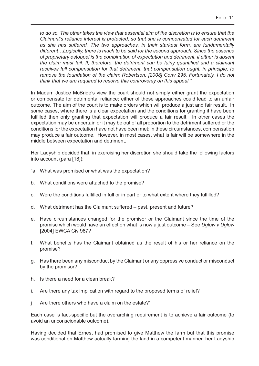*to do so. The other takes the view that essential aim of the discretion is to ensure that the Claimant's reliance interest is protected, so that she is compensated for such detriment as she has suffered. The two approaches, in their starkest form, are fundamentally different…Logically, there is much to be said for the second approach. Since the essence of proprietary estoppel is the combination of expectation and detriment, if either is absent the claim must fail. If, therefore, the detriment can be fairly quantified and a claimant receives full compensation for that detriment, that compensation ought, in principle, to remove the foundation of the claim: Robertson: [2008] Conv 295. Fortunately, I do not think that we are required to resolve this controversy on this appeal."*

In Madam Justice McBride's view the court should not simply either grant the expectation or compensate for detrimental reliance; either of these approaches could lead to an unfair outcome. The aim of the court is to make orders which will produce a just and fair result. In some cases, where there is a clear expectation and the conditions for granting it have been fulfilled then only granting that expectation will produce a fair result. In other cases the expectation may be uncertain or it may be out of all proportion to the detriment suffered or the conditions for the expectation have not have been met; in these circumstances, compensation may produce a fair outcome. However, in most cases, what is fair will be somewhere in the middle between expectation and detriment.

Her Ladyship decided that, in exercising her discretion she should take the following factors into account (para [18]):

- "a. What was promised or what was the expectation?
- b. What conditions were attached to the promise?
- c. Were the conditions fulfilled in full or in part or to what extent where they fulfilled?
- d. What detriment has the Claimant suffered past, present and future?
- e. Have circumstances changed for the promisor or the Claimant since the time of the promise which would have an effect on what is now a just outcome – See *Uglow v Uglow* [2004] EWCA Civ 987?
- f. What benefits has the Claimant obtained as the result of his or her reliance on the promise?
- g. Has there been any misconduct by the Claimant or any oppressive conduct or misconduct by the promisor?
- h. Is there a need for a clean break?
- i. Are there any tax implication with regard to the proposed terms of relief?
- j Are there others who have a claim on the estate?"

Each case is fact-specific but the overarching requirement is to achieve a fair outcome (to avoid an unconscionable outcome).

Having decided that Ernest had promised to give Matthew the farm but that this promise was conditional on Matthew actually farming the land in a competent manner, her Ladyship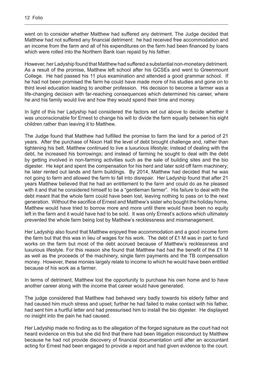went on to consider whether Matthew had suffered any detriment. The Judge decided that Matthew had not suffered any financial detriment: he had received free accommodation and an income from the farm and all of his expenditures on the farm had been financed by loans which were rolled into the Northern Bank loan repaid by his father.

However, her Ladyship found that Matthew had suffered a substantial non-monetary detriment. As a result of the promise, Matthew left school after his GCSEs and went to Greenmount College. He had passed his 11 plus examination and attended a good grammar school. If he had not been promised the farm he could have made more of his studies and gone on to third level education leading to another profession. His decision to become a farmer was a life-changing decision with far-reaching consequences which determined his career, where he and his family would live and how they would spend their time and money.

In light of this her Ladyship had considered the factors set out above to decide whether it was unconscionable for Ernest to change his will to divide the farm equally between his eight children rather than leaving it to Matthew.

The Judge found that Matthew had fulfilled the promise to farm the land for a period of 21 years. After the purchase of Nixon Hall the level of debt brought challenge and, rather than tightening his belt, Matthew continued to live a luxurious lifestyle; instead of dealing with the debt, he increased his borrowings; and instead of farming he sought to deal with the debt by getting involved in non-farming activities such as the sale of building sites and the bio digester. He kept and spent the compensation for his herd and later sold off farm machinery; he later rented out lands and farm buildings. By 2014, Matthew had decided that he was not going to farm and allowed the farm to fall into disrepair. Her Ladyship found that after 21 years Matthew believed that he had an entitlement to the farm and could do as he pleased with it and that he considered himself to be a "gentleman farmer". His failure to deal with the debt meant that the whole farm could have been lost, leaving nothing to pass on to the next generation. Without the sacrifice of Ernest and Matthew's sister who bought the holiday home, Matthew would have tried to borrow more and more until there would have been no equity left in the farm and it would have had to be sold. It was only Ernest's actions which ultimately prevented the whole farm being lost by Matthew's recklessness and mismanagement.

Her Ladyship also found that Matthew enjoyed free accommodation and a good income form the farm but that this was in lieu of wages for his work. The debt of £1 M was in part to fund works on the farm but most of the debt accrued because of Matthew's recklessness and luxurious lifestyle. For this reason she found that Matthew had had the benefit of the £1 M as well as the proceeds of the machinery, single farm payments and the TB compensation money. However, these monies largely relate to income to which he would have been entitled because of his work as a farmer.

In terms of detriment, Matthew lost the opportunity to purchase his own home and to have another career along with the income that career would have generated.

The judge considered that Matthew had behaved very badly towards his elderly father and had caused him much stress and upset; further he had failed to make contact with his father, had sent him a hurtful letter and had pressurised him to install the bio digester. He displayed no insight into the pain he had caused.

Her Ladyship made no finding as to the allegation of the forged signature as the court had not heard evidence on this but she did find that there had been litigation misconduct by Matthew because he had not provide discovery of financial documentation until after an accountant acting for Ernest had been engaged to provide a report and had given evidence to the court.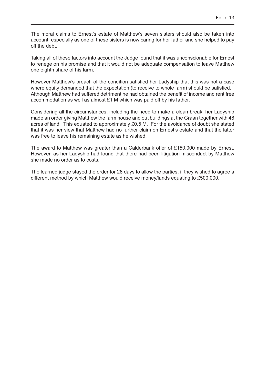The moral claims to Ernest's estate of Matthew's seven sisters should also be taken into account, especially as one of these sisters is now caring for her father and she helped to pay off the debt.

Taking all of these factors into account the Judge found that it was unconscionable for Ernest to renege on his promise and that it would not be adequate compensation to leave Matthew one eighth share of his farm.

However Matthew's breach of the condition satisfied her Ladyship that this was not a case where equity demanded that the expectation (to receive to whole farm) should be satisfied. Although Matthew had suffered detriment he had obtained the benefit of income and rent free accommodation as well as almost £1 M which was paid off by his father.

Considering all the circumstances, including the need to make a clean break, her Ladyship made an order giving Matthew the farm house and out buildings at the Graan together with 48 acres of land. This equated to approximately £0.5 M. For the avoidance of doubt she stated that it was her view that Matthew had no further claim on Ernest's estate and that the latter was free to leave his remaining estate as he wished.

The award to Matthew was greater than a Calderbank offer of £150,000 made by Ernest. However, as her Ladyship had found that there had been litigation misconduct by Matthew she made no order as to costs.

The learned judge stayed the order for 28 days to allow the parties, if they wished to agree a different method by which Matthew would receive money/lands equating to £500,000.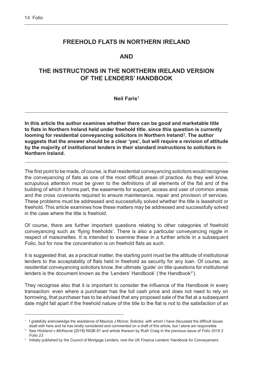# <span id="page-15-0"></span>**FREEHOLD FLATS IN NORTHERN IRELAND**

#### **AND**

# **THE INSTRUCTIONS IN THE NORTHERN IRELAND VERSION OF THE LENDERS' HANDBOOK**

**Neil Faris1**

**In this article the author examines whether there can be good and marketable title to flats in Northern Ireland held under freehold title. since this question is currently**  looming for residential conveyancing solicitors in Northern Ireland<sup>2</sup>. The author **suggests that the answer should be a clear 'yes', but will require a revision of attitude by the majority of institutional lenders in their standard instructions to solicitors in Northern Ireland.**

The first point to be made, of course, is that residential conveyancing solicitors would recognise the conveyancing of flats as one of the most difficult areas of practice. As they well know, scrupulous attention must be given to the definitions of all elements of the flat and of the building of which it forms part, the easements for support, access and user of common areas and the cross covenants required to ensure maintenance, repair and provision of services. These problems must be addressed and successfully solved whether the title is leasehold or freehold. This article examines how these matters may be addressed and successfully solved in the case where the title is freehold.

Of course, there are further important questions relating to other categories of freehold conveyancing such as 'flying freeholds'. There is also a particular conveyancing niggle in respect of maisonettes. It is intended to examine these in a further article in a subsequent *Folio*, but for now the concentration is on freehold flats as such.

It is suggested that, as a practical matter, the starting point must be the attitude of institutional lenders to the acceptability of flats held in freehold as security for any loan. Of course, as residential conveyancing solicitors know, the ultimate 'guide' on title questions for institutional lenders is the document known as the 'Lenders' Handbook' ('the Handbook<sup>3</sup>').

They recognise also that it is important to consider the influence of the Handbook in every transaction: even where a purchaser has the full cash price and does not need to rely on borrowing, that purchaser has to be advised that any proposed sale of the flat at a subsequent date might fall apart if the freehold nature of the title to the flat is not to the satisfaction of an

<sup>1</sup> I gratefully acknowledge the assistance of Maurice J McIvor, Solicitor, with whom I have discussed the difficult issues dealt with here and he has kindly considered and commented on a draft of this article, but I alone am responsible 2

See *Hickland v McKeone* [2018] NIQB 81 and article thereon by Ruth Craig in the previous issue of *Folio 2019 2 Folio 23*

<sup>&</sup>lt;sup>3</sup> Initially published by the Council of Mortgage Lenders, now the UK Finance Lenders' Handbook for Conveyancers.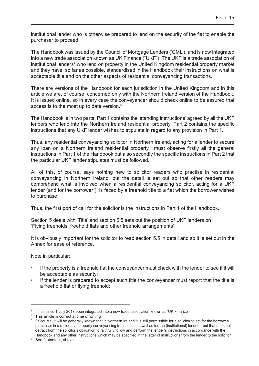institutional lender who is otherwise prepared to lend on the security of the flat to enable the purchaser to proceed.

The Handbook was issued by the Council of Mortgage Lenders ('CML'), and is now integrated into a new trade association known as UK Finance ("UKF"). The UKF is a trade association of institutional lenders<sup>4</sup> who lend on property in the United Kingdom residential property market and they have, so far as possible, standardised in the Handbook their instructions on what is acceptable title and on the other aspects of residential conveyancing transactions.

There are versions of the Handbook for each jurisdiction in the United Kingdom and in this article we are, of course, concerned only with the Northern Ireland version of the Handbook. It is issued online, so in every case the conveyancer should check online to be assured that access is to the most up to date version.<sup>5</sup>

The Handbook is in two parts. Part 1 contains the 'standing instructions' agreed by all the UKF lenders who lend into the Northern Ireland residential property. Part 2 contains the specific instructions that any UKF lender wishes to stipulate in regard to any provision in Part 1.

Thus, any residential conveyancing solicitor in Northern Ireland, acting for a lender to secure any loan on a Northern Ireland residential property<sup>6</sup>, must observe firstly all the general instructions in Part 1 of the Handbook but also secondly the specific instructions in Part 2 that the particular UKF lender stipulates must be followed.

All of this, of course, says nothing new to solicitor readers who practise in residential conveyancing in Northern Ireland, but the detail is set out so that other readers may comprehend what is involved when a residential conveyancing solicitor, acting for a UKF lender (and for the borrower<sup>7</sup>), is faced by a freehold title to a flat which the borrower wishes to purchase.

Thus, the first port of call for the solicitor is the instructions in Part 1 of the Handbook.

Section 5 deals with 'Title' and section 5.5 sets out the position of UKF lenders on 'Flying freeholds, freehold flats and other freehold arrangements'.

It is obviously important for the solicitor to read section 5.5 in detail and so it is set out in the Annex for ease of reference.

Note in particular:

- If the property is a freehold flat the conveyancer must check with the lender to see if it will be acceptable as security;
- If the lender is prepared to accept such title the conveyancer must report that the title is a freehold flat or flying freehold;

<sup>4</sup> It has since 1 July 2017 been integrated into a new trade association known as 'UK Finance'.

<sup>5</sup> This article is correct at time of writing

 $^6$  Of course, it will be generally known that in Northern Ireland it is still permissible for a solicitor to act for the borrower/ purchaser in a residential property conveyancing transaction as well as for the (institutional) lender – but that does not detract from the solicitor's obligation to faithfully follow and perform the lender's instructions in accordance with the Handbook and any other instructions which may be specified in the letter of instructions from the lender to the solicitor

<sup>7</sup> See footnote 4, above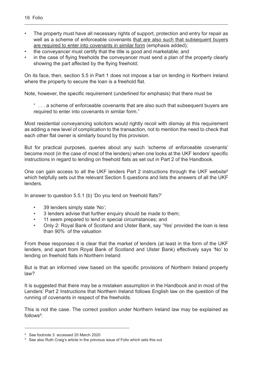- The property must have all necessary rights of support, protection and entry for repair as well as a scheme of enforceable covenants that are also such that subsequent buyers are required to enter into covenants in similar form (emphasis added);
- the conveyancer must certify that the title is good and marketable; and
- in the case of flying freeholds the conveyancer must send a plan of the property clearly showing the part affected by the flying freehold;

On its face, then, section 5.5 in Part 1 does not impose a bar on lending in Northern Ireland where the property to secure the loan is a freehold flat.

Note, however, the specific requirement (underlined for emphasis) that there must be

" . . . a scheme of enforceable covenants that are also such that subsequent buyers are required to enter into covenants in similar form."

Most residential conveyancing solicitors would rightly recoil with dismay at this requirement as adding a new level of complication to the transaction, not to mention the need to check that each other flat owner is similarly bound by this provision.

But for practical purposes, queries about any such 'scheme of enforceable covenants' become moot (in the case of most of the lenders) when one looks at the UKF lenders' specific instructions in regard to lending on freehold flats as set out in Part 2 of the Handbook.

One can gain access to all the UKF lenders Part 2 instructions through the UKF website<sup>8</sup> which helpfully sets out the relevant Section 5 questions and lists the answers of all the UKF lenders.

In answer to question 5.5.1 (b) 'Do you lend on freehold flats?'

- 39 lenders simply state 'No';
- 3 lenders advise that further enquiry should be made to them;
- 11 seem prepared to lend in special circumstances; and
- Only 2: Royal Bank of Scotland and Ulster Bank, say 'Yes' provided the loan is less than 90% of the valuation

From these responses it is clear that the market of lenders (at least in the form of the UKF lenders, and apart from Royal Bank of Scotland and Ulster Bank) effectively says 'No' to lending on freehold flats in Northern Ireland

But is that an informed view based on the specific provisions of Northern Ireland property law?

It is suggested that there may be a mistaken assumption in the Handbook and in most of the Lenders' Part 2 Instructions that Northern Ireland follows English law on the question of the running of covenants in respect of the freeholds.

This is not the case. The correct position under Northern Ireland law may be explained as follows<sup>9</sup>:

<sup>8</sup> See footnote 3: accessed 20 March 2020

<sup>&</sup>lt;sup>9</sup> See also Ruth Craig's article in the previous issue of Folio which sets this out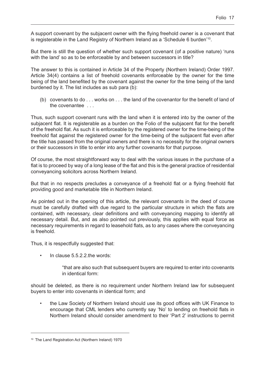A support covenant by the subjacent owner with the flying freehold owner is a covenant that is registerable in the Land Registry of Northern Ireland as a 'Schedule 6 burden'10.

But there is still the question of whether such support covenant (of a positive nature) 'runs with the land' so as to be enforceable by and between successors in title?

The answer to this is contained in Article 34 of the Property (Northern Ireland) Order 1997. Article 34(4) contains a list of freehold covenants enforceable by the owner for the time being of the land benefited by the covenant against the owner for the time being of the land burdened by it. The list includes as sub para (b):

(b) covenants to do . . . works on . . . the land of the covenantor for the benefit of land of the covenantee . . .

Thus, such support covenant runs with the land when it is entered into by the owner of the subjacent flat. It is registerable as a burden on the Folio of the subjacent flat for the benefit of the freehold flat. As such it is enforceable by the registered owner for the time-being of the freehold flat against the registered owner for the time-being of the subjacent flat even after the title has passed from the original owners and there is no necessity for the original owners or their successors in title to enter into any further covenants for that purpose.

Of course, the most straightforward way to deal with the various issues in the purchase of a flat is to proceed by way of a long lease of the flat and this is the general practice of residential conveyancing solicitors across Northern Ireland.

But that in no respects precludes a conveyance of a freehold flat or a flying freehold flat providing good and marketable title in Northern Ireland.

As pointed out in the opening of this article, the relevant covenants in the deed of course must be carefully drafted with due regard to the particular structure in which the flats are contained, with necessary, clear definitions and with conveyancing mapping to identify all necessary detail. But, and as also pointed out previously, this applies with equal force as necessary requirements in regard to leasehold flats, as to any cases where the conveyancing is freehold.

Thus, it is respectfully suggested that:

In clause  $5.5.2.2$  the words:

"that are also such that subsequent buyers are required to enter into covenants in identical form:

should be deleted, as there is no requirement under Northern Ireland law for subsequent buyers to enter into covenants in identical form; and

• the Law Society of Northern Ireland should use its good offices with UK Finance to encourage that CML lenders who currently say 'No' to lending on freehold flats in Northern Ireland should consider amendment to their 'Part 2' instructions to permit

<sup>10</sup> The Land Registration Act (Northern Ireland) 1970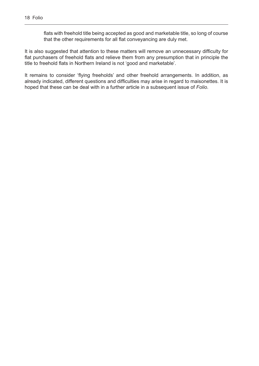flats with freehold title being accepted as good and marketable title, so long of course that the other requirements for all flat conveyancing are duly met.

It is also suggested that attention to these matters will remove an unnecessary difficulty for flat purchasers of freehold flats and relieve them from any presumption that in principle the title to freehold flats in Northern Ireland is not 'good and marketable'.

It remains to consider 'flying freeholds' and other freehold arrangements. In addition, as already indicated, different questions and difficulties may arise in regard to maisonettes. It is hoped that these can be deal with in a further article in a subsequent issue of *Folio*.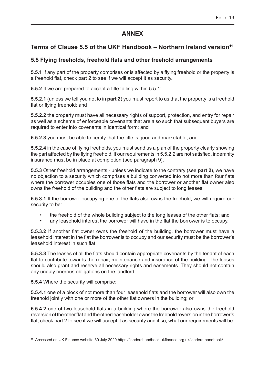# **ANNEX**

# Terms of Clause 5.5 of the UKF Handbook – Northern Ireland version<sup>11</sup>

# **5.5 Flying freeholds, freehold flats and other freehold arrangements**

**5.5.1** If any part of the property comprises or is affected by a flying freehold or the property is a freehold flat, check part 2 to see if we will accept it as security.

**5.5.2** If we are prepared to accept a title falling within 5.5.1:

**5.5.2.1** (unless we tell you not to in **part 2**) you must report to us that the property is a freehold flat or flying freehold; and

**5.5.2.2** the property must have all necessary rights of support, protection, and entry for repair as well as a scheme of enforceable covenants that are also such that subsequent buyers are required to enter into covenants in identical form; and

**5.5.2.3** you must be able to certify that the title is good and marketable; and

**5.5.2.4** in the case of flying freeholds, you must send us a plan of the property clearly showing the part affected by the flying freehold. If our requirements in 5.5.2.2 are not satisfied, indemnity insurance must be in place at completion (see paragraph 9).

**5.5.3** Other freehold arrangements - unless we indicate to the contrary (see **part 2**), we have no objection to a security which comprises a building converted into not more than four flats where the borrower occupies one of those flats and the borrower or another flat owner also owns the freehold of the building and the other flats are subject to long leases.

**5.5.3.1** If the borrower occupying one of the flats also owns the freehold, we will require our security to be:

- the freehold of the whole building subject to the long leases of the other flats; and
- any leasehold interest the borrower will have in the flat the borrower is to occupy.

**5.5.3.2** If another flat owner owns the freehold of the building, the borrower must have a leasehold interest in the flat the borrower is to occupy and our security must be the borrower's leasehold interest in such flat.

**5.5.3.3** The leases of all the flats should contain appropriate covenants by the tenant of each flat to contribute towards the repair, maintenance and insurance of the building. The leases should also grant and reserve all necessary rights and easements. They should not contain any unduly onerous obligations on the landlord.

**5.5.4** Where the security will comprise:

**5.5.4.1** one of a block of not more than four leasehold flats and the borrower will also own the freehold jointly with one or more of the other flat owners in the building; or

**5.5.4.2** one of two leasehold flats in a building where the borrower also owns the freehold reversion of the other flat and the other leaseholder owns the freehold reversion in the borrower's flat; check part 2 to see if we will accept it as security and if so, what our requirements will be.

<sup>11</sup> Accessed on UK Finance website 30 July 2020 https://lendershandbook.ukfinance.org.uk/lenders-handbook/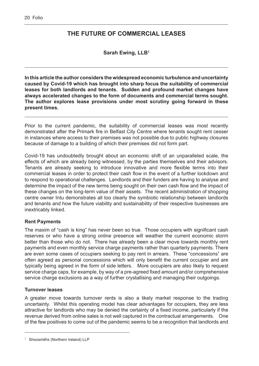# <span id="page-21-0"></span>**THE FUTURE OF COMMERCIAL LEASES**

**Sarah Ewing, LLB1**

**In this article the author considers the widespread economic turbulence and uncertainty caused by Covid-19 which has brought into sharp focus the suitability of commercial leases for both landlords and tenants. Sudden and profound market changes have always accelerated changes to the form of documents and commercial terms sought. The author explores lease provisions under most scrutiny going forward in these present times.**

Prior to the current pandemic, the suitability of commercial leases was most recently demonstrated after the Primark fire in Belfast City Centre where tenants sought rent cesser in instances where access to their premises was not possible due to public highway closures because of damage to a building of which their premises did not form part.

Covid-19 has undoubtedly brought about an economic shift of an unparalleled scale, the effects of which are already being witnessed, by the parties themselves and their advisors. Tenants are already seeking to introduce innovative and more flexible terms into their commercial leases in order to protect their cash flow in the event of a further lockdown and to respond to operational challenges. Landlords and their funders are having to analyse and determine the impact of the new terms being sought on their own cash flow and the impact of these changes on the long-term value of their assets. The recent administration of shopping centre owner Intu demonstrates all too clearly the symbiotic relationship between landlords and tenants and how the future viability and sustainability of their respective businesses are inextricably linked.

#### **Rent Payments**

The maxim of "cash is king" has never been so true. Those occupiers with significant cash reserves or who have a strong online presence will weather the current economic storm better than those who do not. There has already been a clear move towards monthly rent payments and even monthly service charge payments rather than quarterly payments. There are even some cases of occupiers seeking to pay rent in arrears. These "concessions" are often agreed as personal concessions which will only benefit the current occupier and are typically being agreed in the form of side letters. More occupiers are also likely to request service charge caps, for example, by way of a pre-agreed fixed amount and/or comprehensive service charge exclusions as a way of further crystallising and managing their outgoings.

#### **Turnover leases**

A greater move towards turnover rents is also a likely market response to the trading uncertainty. Whilst this operating model has clear advantages for occupiers, they are less attractive for landlords who may be denied the certainty of a fixed income, particularly if the revenue derived from online sales is not well captured in the contractual arrangements. One of the few positives to come out of the pandemic seems to be a recognition that landlords and

<sup>&</sup>lt;sup>1</sup> Shoosmiths (Northern Ireland) LLP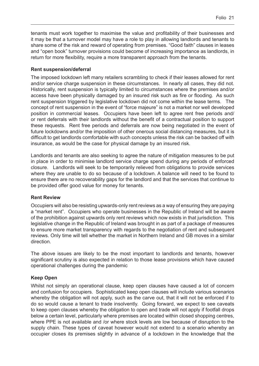tenants must work together to maximise the value and profitability of their businesses and it may be that a turnover model may have a role to play in allowing landlords and tenants to share some of the risk and reward of operating from premises. "Good faith" clauses in leases and "open book" turnover provisions could become of increasing importance as landlords, in return for more flexibility, require a more transparent approach from the tenants.

#### **Rent suspension/deferral**

The imposed lockdown left many retailers scrambling to check if their leases allowed for rent and/or service charge suspension in these circumstances. In nearly all cases, they did not. Historically, rent suspension is typically limited to circumstances where the premises and/or access have been physically damaged by an insured risk such as fire or flooding. As such rent suspension triggered by legislative lockdown did not come within the lease terms. The concept of rent suspension in the event of "force majeure" is not a market nor well developed position in commercial leases. Occupiers have been left to agree rent free periods and/ or rent deferrals with their landlords without the benefit of a contractual position to support these requests. Rent free periods and deferrals are now being negotiated in the event of future lockdowns and/or the imposition of other onerous social distancing measures, but it is difficult to get landlords comfortable with such concepts unless the risk can be backed off with insurance, as would be the case for physical damage by an insured risk.

Landlords and tenants are also seeking to agree the nature of mitigation measures to be put in place in order to minimise landlord service charge spend during any periods of enforced closure. Landlords will seek to be temporarily relieved from obligations to provide services where they are unable to do so because of a lockdown. A balance will need to be found to ensure there are no recoverability gaps for the landlord and that the services that continue to be provided offer good value for money for tenants.

#### **Rent Review**

Occupiers will also be resisting upwards-only rent reviews as a way of ensuring they are paying a "market rent". Occupiers who operate businesses in the Republic of Ireland will be aware of the prohibition against upwards only rent reviews which now exists in that jurisdiction. This legislative change in the Republic of Ireland was brought in as part of a package of measures to ensure more market transparency with regards to the negotiation of rent and subsequent reviews. Only time will tell whether the market in Northern Ireland and GB moves in a similar direction.

The above issues are likely to be the most important to landlords and tenants, however significant scrutiny is also expected in relation to those lease provisions which have caused operational challenges during the pandemic

#### **Keep Open**

Whilst not simply an operational clause, keep open clauses have caused a lot of concern and confusion for occupiers. Sophisticated keep open clauses will include various scenarios whereby the obligation will not apply, such as the carve out, that it will not be enforced if to do so would cause a tenant to trade insolvently. Going forward, we expect to see caveats to keep open clauses whereby the obligation to open and trade will not apply if footfall drops below a certain level, particularly where premises are located within closed shopping centres, where PPE is not available and /or where stock levels are low because of disruption to the supply chain. These types of caveat however would not extend to a scenario whereby an occupier closes its premises slightly in advance of a lockdown in the knowledge that the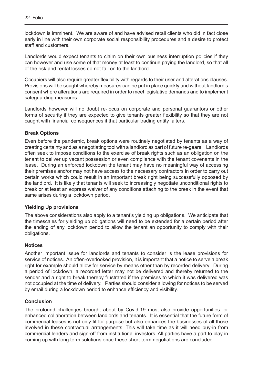lockdown is imminent. We are aware of and have advised retail clients who did in fact close early in line with their own corporate social responsibility procedures and a desire to protect staff and customers.

Landlords would expect tenants to claim on their own business interruption policies if they can however and use some of that money at least to continue paying the landlord, so that all of the risk and rental losses do not fall on to the landlord.

Occupiers will also require greater flexibility with regards to their user and alterations clauses. Provisions will be sought whereby measures can be put in place quickly and without landlord's consent where alterations are required in order to meet legislative demands and to implement safeguarding measures.

Landlords however will no doubt re-focus on corporate and personal guarantors or other forms of security if they are expected to give tenants greater flexibility so that they are not caught with financial consequences if that particular trading entity falters.

#### **Break Options**

Even before the pandemic, break options were routinely negotiated by tenants as a way of creating certainty and as a negotiating tool with a landlord as part of future re-gears. Landlords often seek to impose conditions to the exercise of break rights such as an obligation on the tenant to deliver up vacant possession or even compliance with the tenant covenants in the lease. During an enforced lockdown the tenant may have no meaningful way of accessing their premises and/or may not have access to the necessary contractors in order to carry out certain works which could result in an important break right being successfully opposed by the landlord. It is likely that tenants will seek to increasingly negotiate unconditional rights to break or at least an express waiver of any conditions attaching to the break in the event that same arises during a lockdown period.

#### **Yielding Up provisions**

The above considerations also apply to a tenant's yielding up obligations. We anticipate that the timescales for yielding up obligations will need to be extended for a certain period after the ending of any lockdown period to allow the tenant an opportunity to comply with their obligations.

#### **Notices**

Another important issue for landlords and tenants to consider is the lease provisions for service of notices. An often-overlooked provision, it is important that a notice to serve a break right for example should allow for service by means other than by recorded delivery. During a period of lockdown, a recorded letter may not be delivered and thereby returned to the sender and a right to break thereby frustrated if the premises to which it was delivered was not occupied at the time of delivery. Parties should consider allowing for notices to be served by email during a lockdown period to enhance efficiency and visibility.

#### **Conclusion**

The profound challenges brought about by Covid-19 must also provide opportunities for enhanced collaboration between landlords and tenants. It is essential that the future form of commercial leases is not only fit for purpose but also enhances the businesses of all those involved in these contractual arrangements. This will take time as it will need buy-in from commercial lenders and sign-off from institutional investors. All parties have a part to play in coming up with long term solutions once these short-term negotiations are concluded.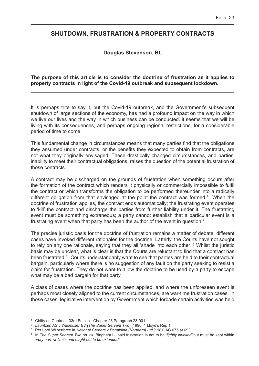# <span id="page-24-0"></span>**SHUTDOWN, FRUSTRATION & PROPERTY CONTRACTS**

#### **Douglas Stevenson, BL**

#### **The purpose of this article is to consider the doctrine of frustration as it applies to property contracts in light of the Covid-19 outbreak and subsequent lockdown.**

It is perhaps trite to say it, but the Covid-19 outbreak, and the Government's subsequent shutdown of large sections of the economy, has had a profound impact on the way in which we live our lives and the way in which business can be conducted. it seems that we will be living with its consequences, and perhaps ongoing regional restrictions, for a considerable period of time to come.

This fundamental change in circumstances means that many parties find that the obligations they assumed under contracts, or the benefits they expected to obtain from contracts, are not what they originally envisaged. These drastically changed circumstances, and parties' inability to meet their contractual obligations, raises the question of the potential frustration of those contracts.

A contract may be discharged on the grounds of frustration when something occurs after the formation of the contract which renders it physically or commercially impossible to fulfil the contract or which transforms the obligation to be performed thereunder into a radically different obligation from that envisaged at the point the contract was formed.<sup>1</sup> When the doctrine of frustration applies, the contract ends automatically; the frustrating event operates to 'kill' the contract and discharge the parties from further liability under it. The frustrating event must be something extraneous; a party cannot establish that a particular event is a frustrating event when that party has been the author of the event in question.<sup>2</sup>

The precise juristic basis for the doctrine of frustration remains a matter of debate; different cases have invoked different rationales for the doctrine. Latterly, the Courts have not sought to rely on any one rationale, saying that they all 'shade into each other'.<sup>3</sup> Whilst the juristic basis may be unclear, what is clear is that the Courts are reluctant to find that a contract has been frustrated.<sup>4</sup> Courts understandably want to see that parties are held to their contractual bargain, particularly where there is no suggestion of any fault on the party seeking to resist a claim for frustration. They do not want to allow the doctrine to be used by a party to escape what may be a bad bargain for that party.

A class of cases where the doctrine has been applied, and where the unforeseen event is perhaps most closely aligned to the current circumstances, are war-time frustration cases. In those cases, legislative intervention by Government which forbade certain activities was held

<sup>1</sup> Chitty on Contract- 33rd Edition - Chapter 23 Paragraph 23-001

<sup>2</sup> *Lauritzen AS v Wijsmuller BV (The Super Servant Two)* [1990] 1 Lloyd's Rep 1

<sup>3</sup> Per Lord Wilberforce in *National Carriers v Panalpina (Northern) Ltd* [1981] AC 675 at 693

<sup>4</sup> In *The Super Servant Two op. cit.* Bingham LJ said frustration is not to be *'lightly invoked'* but must be kept within *'very narrow limits and ought not to be extended'*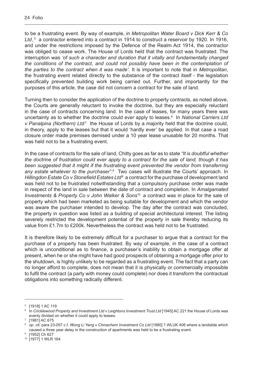to be a frustrating event. By way of example, in *Metropolitan Water Board v Dick Kerr & Co*  Ltd,<sup>5</sup> a contractor entered into a contract in 1914 to construct a reservoir by 1920. In 1916, and under the restrictions imposed by the Defence of the Realm Act 1914, the contractor was obliged to cease work. The House of Lords held that the contract was frustrated. The interruption was *'of such a character and duration that it vitally and fundamentally changed the conditions of the contract, and could not possibly have been in the contemplation of the parties to the contract when it was made'*. It is important to note that in *Metropolitan*, the frustrating event related directly to the substance of the contract itself - the legislation specifically prevented building work being carried out. Further, and importantly for the purposes of this article, the case did not concern a contract for the sale of land.

Turning then to consider the application of the doctrine to property contracts, as noted above, the Courts are generally reluctant to invoke the doctrine, but they are especially reluctant in the case of contracts concerning land. In the case of leases, for many years there was uncertainty as to whether the doctrine could *ever* apply to leases.<sup>6</sup> In *National Carriers Ltd* v Panalpina (Northern) Ltd<sup>7</sup> the House of Lords by a majority held that the doctrine could, in theory, apply to the leases but that it would 'hardly ever' be applied. In that case a road closure order made premises demised under a 10 year lease unusable for 20 months. That was held not to be a frustrating event.

In the case of contracts for the sale of land, Chitty goes as far as to state *"It is doubtful whether the doctrine of frustration could ever apply to a contract for the sale of land, though it has*  been suggested that it might if the frustrating event prevented the vendor from transferring any estate whatever to the purchaser".<sup>8</sup> Two cases will illustrate the Courts' approach. In *Hillingdon Estate Co v Stonefield Estates Ltd*<sup>9</sup> a contract for the purchase of development land was held not to be frustrated notwithstanding that a compulsory purchase order was made in respect of the land in sale between the date of contract and completion. In *Amalgamated Investments & Property Co v John Walker & Sons*10 a contract was in place for the sale of property which had been marketed as being suitable for development and which the vendor was aware the purchaser intended to develop. The day after the contract was concluded, the property in question was listed as a building of special architectural interest. The listing severely restricted the development potential of the property in sale thereby reducing its value from £1.7m to £200k. Nevertheless the contract was held not to be frustrated.

It is therefore likely to be extremely difficult for a purchaser to argue that a contract for the purchase of a property has been frustrated. By way of example, in the case of a contract which is unconditional as to finance, a purchaser's inability to obtain a mortgage offer at present, when he or she might have had good prospects of obtaining a mortgage offer prior to the shutdown, is highly unlikely to be regarded as a frustrating event. The fact that a party can no longer afford to complete, does not mean that it is physically or commercially impossible to fulfil the contract (a party with money could complete) nor does it transform the contractual obligations into something radically different.

<sup>5</sup> [1918] 1 AC 119

<sup>6</sup> In *Cricklewood Property and Investment Ltd v Leightons Investment Trust Ltd* [1945] AC 221 the House of Lords was evenly divided on whether it could apply to leases.

<sup>7</sup> [1981] AC 675

<sup>8</sup> *op. cit.* para 23-057 c.f. *Wong Li Yang v Chinachem Investment Co Ltd* [1980] 1 WLUK 406 where a landslide which caused a three year delay in the construction of apartments was held to be a frustrating event.

<sup>[1952]</sup> Ch 627

<sup>10</sup> [1977] 1 WLR 164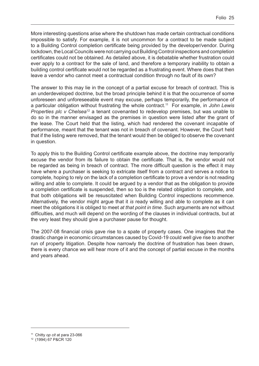More interesting questions arise where the shutdown has made certain contractual conditions impossible to satisfy. For example, it is not uncommon for a contract to be made subject to a Building Control completion certificate being provided by the developer/vendor. During lockdown, the Local Councils were not carrying out Building Control inspections and completion certificates could not be obtained. As detailed above, it is debatable whether frustration could ever apply to a contract for the sale of land, and therefore a temporary inability to obtain a building control certificate would not be regarded as a frustrating event. Where does that then leave a vendor who cannot meet a contractual condition through no fault of its own?

The answer to this may lie in the concept of a partial excuse for breach of contract. This is an underdeveloped doctrine, but the broad principle behind it is that the occurrence of some unforeseen and unforeseeable event may excuse, perhaps temporarily, the performance of a particular obligation without frustrating the whole contract.11 For example, in *John Lewis Properties plc v Chelsea<sup>12</sup>* a tenant covenanted to redevelop premises, but was unable to do so in the manner envisaged as the premises in question were listed after the grant of the lease. The Court held that the listing, which had rendered the covenant incapable of performance, meant that the tenant was not in breach of covenant. However, the Court held that if the listing were removed, that the tenant would then be obliged to observe the covenant in question.

To apply this to the Building Control certificate example above, the doctrine may temporarily excuse the vendor from its failure to obtain the certificate. That is, the vendor would not be regarded as being in breach of contract. The more difficult question is the effect it may have where a purchaser is seeking to extricate itself from a contract and serves a notice to complete, hoping to rely on the lack of a completion certificate to prove a vendor is not reading willing and able to complete. It could be argued by a vendor that as the obligation to provide a completion certificate is suspended, then so too is the related obligation to complete, and that both obligations will be resuscitated when Building Control inspections recommence. Alternatively, the vendor might argue that it *is* ready willing and able to complete as it can meet the obligations it is obliged to meet *at that point in time*. Such arguments are not without difficulties, and much will depend on the wording of the clauses in individual contracts, but at the very least they should give a purchaser pause for thought.

The 2007-08 financial crisis gave rise to a spate of property cases. One imagines that the drastic change in economic circumstances caused by Covid-19 could well give rise to another run of property litigation. Despite how narrowly the doctrine of frustration has been drawn, there is every chance we will hear more of it and the concept of partial excuse in the months and years ahead.

<sup>11</sup> Chitty *op cit* at para 23-066

<sup>12</sup> (1994) 67 P&CR 120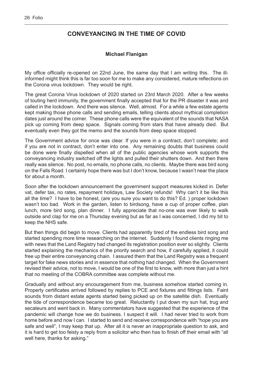# <span id="page-27-0"></span>**CONVEYANCING IN THE TIME OF COVID**

#### **Michael Flanigan**

My office officially re-opened on 22nd June, the same day that I am writing this. The illinformed might think this is far too soon for me to make any considered, mature reflections on the Corona virus lockdown. They would be right.

The great Corona Virus lockdown of 2020 started on 23rd March 2020. After a few weeks of touting herd immunity, the government finally accepted that for the PR disaster it was and called in the lockdown. And there was silence. Well, almost. For a while a few estate agents kept making those phone calls and sending emails, telling clients about mythical completion dates just around the corner. These phone calls were the equivalent of the sounds that NASA pick up coming from deep space. Signals coming from stars that have already died. But eventually even they got the memo and the sounds from deep space stopped.

The Government advice for once was clear. If you were in a contract, don't complete; and if you are not in contract, don't enter into one. Any remaining doubts that business could be done were finally dispelled when all of the public agencies whose work supports the conveyancing industry switched off the lights and pulled their shutters down. And then there really was silence. No post, no emails, no phone calls, no clients. Maybe there was bird song on the Falls Road. I certainly hope there was but I don't know, because I wasn't near the place for about a month.

Soon after the lockdown announcement the government support measures kicked in. Defer vat, defer tax, no rates, repayment holidays, Law Society refunds! Why can't it be like this all the time? I have to be honest, (are you sure you want to do this? Ed. ) proper lockdown wasn't too bad. Work in the garden, listen to birdsong, have a cup of proper coffee, plan lunch, more bird song, plan dinner. I fully appreciate that no-one was ever likely to walk outside and clap for me on a Thursday evening but as far as I was concerned, I did my bit to keep the NHS safe.

But then things did begin to move. Clients had apparently tired of the endless bird song and started spending more time researching on the internet. Suddenly I found clients ringing me with news that the Land Registry had changed its registration position ever so slightly. Clients started explaining the mechanics of the priority search and how, if carefully applied, it could free up their entire conveyancing chain. I assured them that the Land Registry was a frequent target for fake news stories and in essence that nothing had changed. When the Government revised their advice, not to move, I would be one of the first to know, with more than just a hint that no meeting of the COBRA committee was complete without me.

Gradually and without any encouragement from me, business somehow started coming in. Property certificates arrived followed by replies to PCE and fixtures and fittings lists. Faint sounds from distant estate agents started being picked up on the satellite dish. Eventually the tide of correspondence became too great. Reluctantly I put down my sun hat, trug and secateurs and went back in. Many commentators have suggested that the experience of the pandemic will change how we do business. I suspect it will. I had never tried to work from home before and now I can. I started to send and receive correspondence with "hope you are safe and well", I may keep that up. After all it is never an inappropriate question to ask, and it is hard to get too feisty a reply from a solicitor who then has to finish off their email with "all well here, thanks for asking."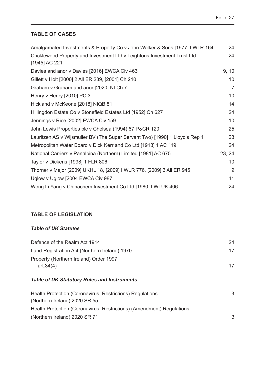# <span id="page-28-0"></span>**TABLE OF CASES**

| Amalgamated Investments & Property Co v John Walker & Sons [1977] I WLR 164 |                |  |
|-----------------------------------------------------------------------------|----------------|--|
| Cricklewood Property and Investment Ltd v Leightons Investment Trust Ltd    |                |  |
| [1945] AC 221                                                               |                |  |
| Davies and anor v Davies [2016] EWCA Civ 463                                | 9, 10          |  |
| Gillett v Holt [2000] 2 All ER 289, [2001] Ch 210                           | 10             |  |
| Graham v Graham and anor [2020] NI Ch 7                                     | $\overline{7}$ |  |
| Henry v Henry [2010] PC 3                                                   | 10             |  |
| Hickland v McKeone [2018] NIQB 81                                           | 14             |  |
| Hillingdon Estate Co v Stonefield Estates Ltd [1952] Ch 627                 | 24             |  |
| Jennings v Rice [2002] EWCA Civ 159                                         | 10             |  |
| John Lewis Properties plc v Chelsea (1994) 67 P&CR 120                      | 25             |  |
| Lauritzen AS v Wijsmuller BV (The Super Servant Two) [1990] 1 Lloyd's Rep 1 | 23             |  |
| Metropolitan Water Board v Dick Kerr and Co Ltd [1918] 1 AC 119             | 24             |  |
| National Carriers v Panalpina (Northern) Limited [1981] AC 675              | 23, 24         |  |
| Taylor v Dickens [1998] 1 FLR 806                                           | 10             |  |
| Thorner v Major [2009] UKHL 18, [2009] I WLR 776, [2009] 3 All ER 945       | 9              |  |
| Uglow v Uglow [2004 EWCA Civ 987                                            | 11             |  |
| Wong Li Yang v Chinachem Investment Co Ltd [1980] I WLUK 406                | 24             |  |

## **TABLE OF LEGISLATION**

#### *Table of UK Statutes*

| Defence of the Realm Act 1914                 | 24 |
|-----------------------------------------------|----|
| Land Registration Act (Northern Ireland) 1970 | 17 |
| Property (Northern Ireland) Order 1997        |    |
| art.34(4)                                     | 17 |

### *Table of UK Statutory Rules and Instruments*

| Health Protection (Coronavirus, Restrictions) Regulations<br>(Northern Ireland) 2020 SR 55 | 3             |
|--------------------------------------------------------------------------------------------|---------------|
| Health Protection (Coronavirus, Restrictions) (Amendment) Regulations                      |               |
| (Northern Ireland) 2020 SR 71                                                              | $\mathcal{B}$ |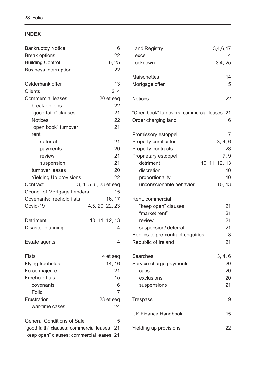# <span id="page-29-0"></span>**INDEX**

| <b>Bankruptcy Notice</b>                   | 6                     | <b>Land Registry</b>                        | 3,4,6,17       |
|--------------------------------------------|-----------------------|---------------------------------------------|----------------|
| <b>Break options</b>                       | 22                    | Lexcel                                      | 4              |
| <b>Building Control</b>                    | 6, 25                 | Lockdown                                    | 3,4,25         |
| <b>Business interruption</b>               | 22                    |                                             |                |
|                                            |                       | <b>Maisonettes</b>                          | 14             |
| Calderbank offer                           | 13                    | Mortgage offer                              | 5              |
| <b>Clients</b>                             | 3, 4                  |                                             |                |
| <b>Commercial leases</b>                   | 20 et seq             | <b>Notices</b>                              | 22             |
| break options                              | 22                    |                                             |                |
| "good faith" clauses                       | 21                    | "Open book" turnovers: commercial leases 21 |                |
| <b>Notices</b>                             | 22                    | Order charging land                         | 6              |
| "open book" turnover                       | 21                    |                                             |                |
| rent                                       |                       | Promissory estoppel                         | $\overline{7}$ |
| deferral                                   | 21                    | Property certificates                       | 3, 4, 6        |
| payments                                   | 20                    | Property contracts                          | 23             |
| review                                     | 21                    | Proprietary estoppel                        | 7, 9           |
| suspension                                 | 21                    | detriment                                   | 10, 11, 12, 13 |
| turnover leases                            | 20                    | discretion                                  | 10             |
| <b>Yielding Up provisions</b>              | 22                    | proportionality                             | 10             |
| Contract                                   | 3, 4, 5, 6, 23 et seq | unconscionable behavior                     | 10, 13         |
| <b>Council of Mortgage Lenders</b>         | 15                    |                                             |                |
| Covenants: freehold flats                  | 16, 17                | Rent, commercial                            |                |
| Covid-19                                   | 4, 5, 20, 22, 23      | "keep open" clauses                         | 21             |
|                                            |                       | "market rent"                               | 21             |
| Detriment                                  | 10, 11, 12, 13        | review                                      | 21             |
| Disaster planning                          | 4                     | suspension/ deferral                        | 21             |
|                                            |                       | Replies to pre-contract enquiries           | 3              |
| Estate agents                              | 4                     | Republic of Ireland                         | 21             |
| <b>Flats</b>                               | 14 et seq             | Searches                                    | 3, 4, 6        |
| <b>Flying freeholds</b>                    | 14, 16                | Service charge payments                     | 20             |
| Force majeure                              | 21                    | caps                                        | 20             |
| <b>Freehold flats</b>                      | 15                    | exclusions                                  | 20             |
| covenants                                  | 16                    | suspensions                                 | 21             |
| Folio                                      | 17                    |                                             |                |
| Frustration                                | 23 et seq             | <b>Trespass</b>                             | 9              |
| war-time cases                             | 24                    |                                             |                |
|                                            |                       | <b>UK Finance Handbook</b>                  | 15             |
| <b>General Conditions of Sale</b>          | 5                     |                                             |                |
| "good faith" clauses: commercial leases 21 |                       | Yielding up provisions                      | 22             |
| "keep open" clauses: commercial leases 21  |                       |                                             |                |
|                                            |                       |                                             |                |